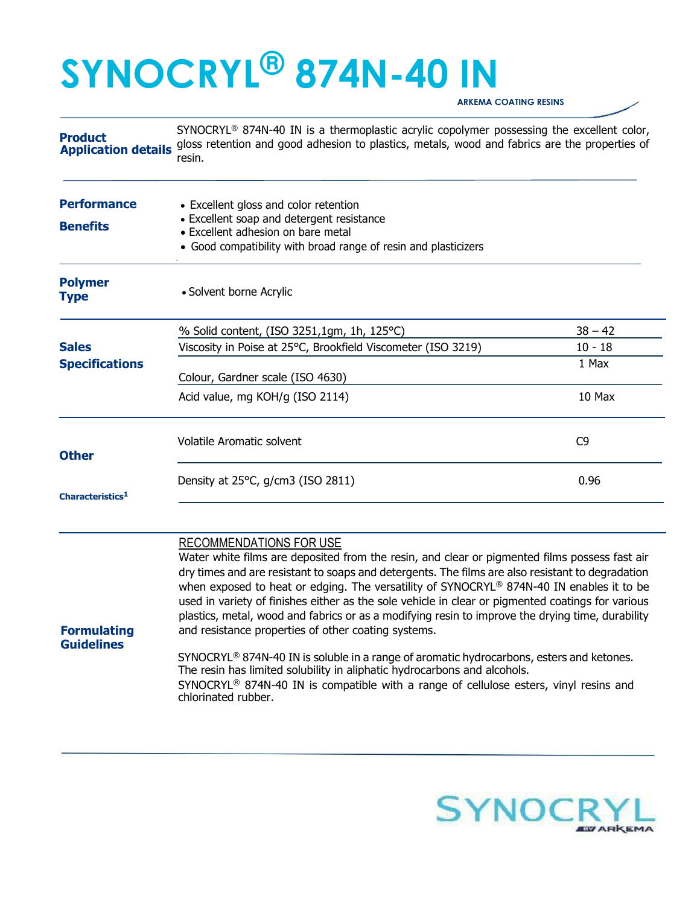## SYNOCRYL® 874N-40 IN ARKEMA COATING RESINS

**Product** Application details SYNOCRYL<sup>®</sup> 874N-40 IN is a thermoplastic acrylic copolymer possessing the excellent color, gloss retention and good adhesion to plastics, metals, wood and fabrics are the properties of resin.

| <b>Performance</b><br><b>Benefits</b> | • Excellent gloss and color retention<br>• Excellent soap and detergent resistance<br>• Excellent adhesion on bare metal<br>• Good compatibility with broad range of resin and plasticizers |                |
|---------------------------------------|---------------------------------------------------------------------------------------------------------------------------------------------------------------------------------------------|----------------|
| <b>Polymer</b><br><b>Type</b>         | • Solvent borne Acrylic                                                                                                                                                                     |                |
|                                       | % Solid content, (ISO 3251,1gm, 1h, 125°C)                                                                                                                                                  | $38 - 42$      |
| <b>Sales</b>                          | Viscosity in Poise at 25°C, Brookfield Viscometer (ISO 3219)                                                                                                                                | $10 - 18$      |
| <b>Specifications</b>                 | Colour, Gardner scale (ISO 4630)                                                                                                                                                            | 1 Max          |
|                                       | Acid value, mg KOH/g (ISO 2114)                                                                                                                                                             | 10 Max         |
| <b>Other</b>                          | Volatile Aromatic solvent                                                                                                                                                                   | C <sub>9</sub> |
| Characteristics <sup>1</sup>          | Density at 25°C, g/cm3 (ISO 2811)                                                                                                                                                           | 0.96           |
|                                       |                                                                                                                                                                                             |                |

## RECOMMENDATIONS FOR USE

Water white films are deposited from the resin, and clear or pigmented films possess fast air dry times and are resistant to soaps and detergents. The films are also resistant to degradation when exposed to heat or edging. The versatility of SYNOCRYL® 874N-40 IN enables it to be used in variety of finishes either as the sole vehicle in clear or pigmented coatings for various plastics, metal, wood and fabrics or as a modifying resin to improve the drying time, durability and resistance properties of other coating systems.

Formulating **Guidelines** 

> SYNOCRYL® 874N-40 IN is soluble in a range of aromatic hydrocarbons, esters and ketones. The resin has limited solubility in aliphatic hydrocarbons and alcohols. SYNOCRYL® 874N-40 IN is compatible with a range of cellulose esters, vinyl resins and chlorinated rubber.